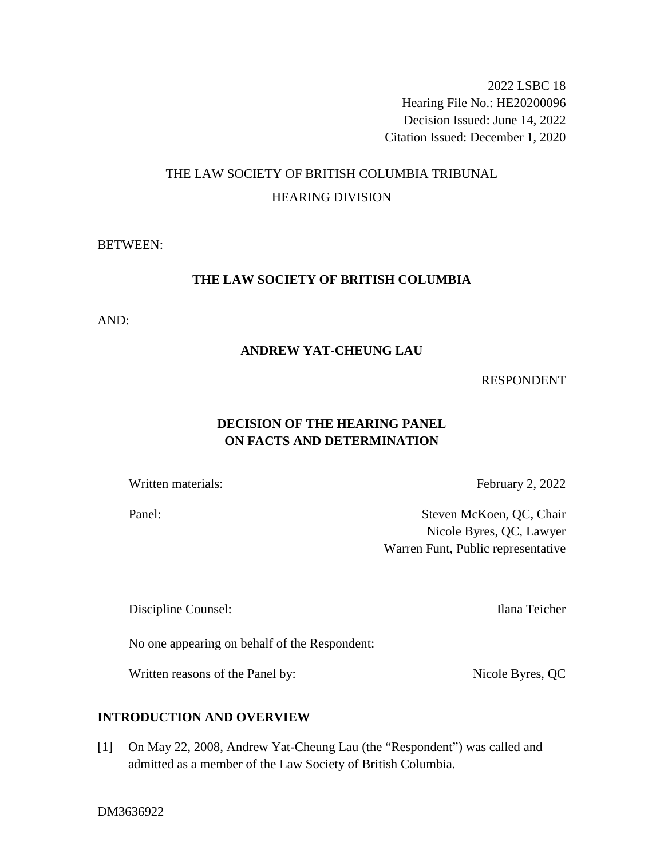2022 LSBC 18 Hearing File No.: HE20200096 Decision Issued: June 14, 2022 Citation Issued: December 1, 2020

# THE LAW SOCIETY OF BRITISH COLUMBIA TRIBUNAL HEARING DIVISION

## BETWEEN:

## **THE LAW SOCIETY OF BRITISH COLUMBIA**

AND:

## **ANDREW YAT-CHEUNG LAU**

## RESPONDENT

## **DECISION OF THE HEARING PANEL ON FACTS AND DETERMINATION**

Written materials: February 2, 2022

Panel: Steven McKoen, QC, Chair Nicole Byres, QC, Lawyer Warren Funt, Public representative

Discipline Counsel: Ilana Teicher

No one appearing on behalf of the Respondent:

Written reasons of the Panel by: Nicole Byres, QC

## **INTRODUCTION AND OVERVIEW**

[1] On May 22, 2008, Andrew Yat-Cheung Lau (the "Respondent") was called and admitted as a member of the Law Society of British Columbia.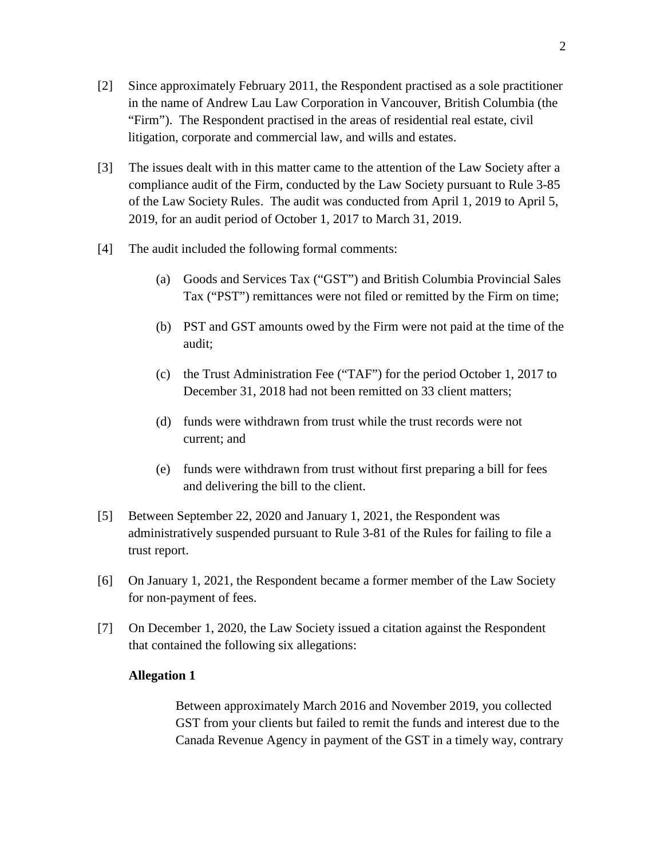- [2] Since approximately February 2011, the Respondent practised as a sole practitioner in the name of Andrew Lau Law Corporation in Vancouver, British Columbia (the "Firm"). The Respondent practised in the areas of residential real estate, civil litigation, corporate and commercial law, and wills and estates.
- [3] The issues dealt with in this matter came to the attention of the Law Society after a compliance audit of the Firm, conducted by the Law Society pursuant to Rule 3-85 of the Law Society Rules. The audit was conducted from April 1, 2019 to April 5, 2019, for an audit period of October 1, 2017 to March 31, 2019.
- [4] The audit included the following formal comments:
	- (a) Goods and Services Tax ("GST") and British Columbia Provincial Sales Tax ("PST") remittances were not filed or remitted by the Firm on time;
	- (b) PST and GST amounts owed by the Firm were not paid at the time of the audit;
	- (c) the Trust Administration Fee ("TAF") for the period October 1, 2017 to December 31, 2018 had not been remitted on 33 client matters;
	- (d) funds were withdrawn from trust while the trust records were not current; and
	- (e) funds were withdrawn from trust without first preparing a bill for fees and delivering the bill to the client.
- [5] Between September 22, 2020 and January 1, 2021, the Respondent was administratively suspended pursuant to Rule 3-81 of the Rules for failing to file a trust report.
- [6] On January 1, 2021, the Respondent became a former member of the Law Society for non-payment of fees.
- [7] On December 1, 2020, the Law Society issued a citation against the Respondent that contained the following six allegations:

## **Allegation 1**

Between approximately March 2016 and November 2019, you collected GST from your clients but failed to remit the funds and interest due to the Canada Revenue Agency in payment of the GST in a timely way, contrary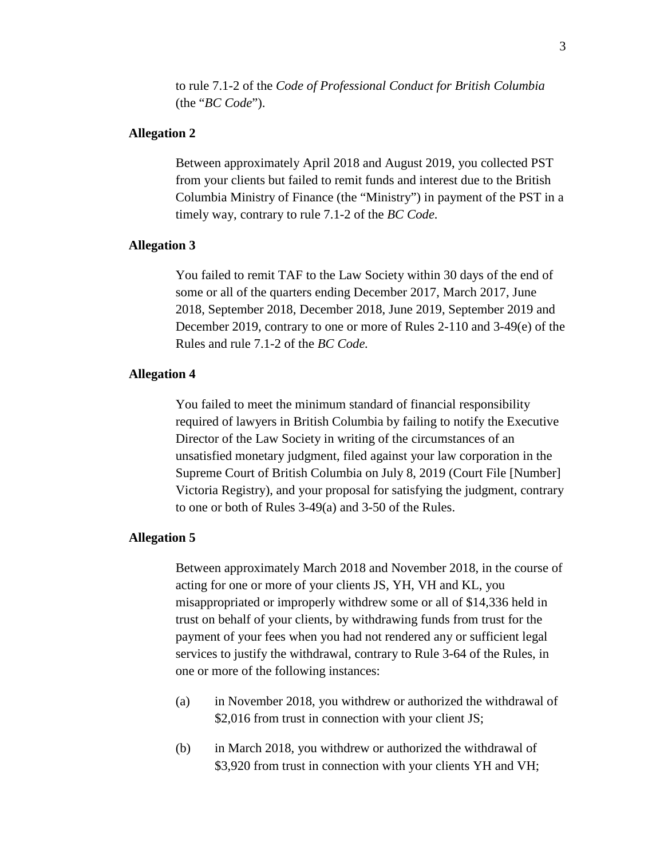to rule 7.1-2 of the *Code of Professional Conduct for British Columbia* (the "*BC Code*").

### **Allegation 2**

Between approximately April 2018 and August 2019, you collected PST from your clients but failed to remit funds and interest due to the British Columbia Ministry of Finance (the "Ministry") in payment of the PST in a timely way, contrary to rule 7.1-2 of the *BC Code.*

#### **Allegation 3**

You failed to remit TAF to the Law Society within 30 days of the end of some or all of the quarters ending December 2017, March 2017, June 2018, September 2018, December 2018, June 2019, September 2019 and December 2019, contrary to one or more of Rules 2-110 and 3-49(e) of the Rules and rule 7.1-2 of the *BC Code.*

## **Allegation 4**

You failed to meet the minimum standard of financial responsibility required of lawyers in British Columbia by failing to notify the Executive Director of the Law Society in writing of the circumstances of an unsatisfied monetary judgment, filed against your law corporation in the Supreme Court of British Columbia on July 8, 2019 (Court File [Number] Victoria Registry), and your proposal for satisfying the judgment, contrary to one or both of Rules 3-49(a) and 3-50 of the Rules.

#### **Allegation 5**

Between approximately March 2018 and November 2018, in the course of acting for one or more of your clients JS, YH, VH and KL, you misappropriated or improperly withdrew some or all of \$14,336 held in trust on behalf of your clients, by withdrawing funds from trust for the payment of your fees when you had not rendered any or sufficient legal services to justify the withdrawal, contrary to Rule 3-64 of the Rules, in one or more of the following instances:

- (a) in November 2018, you withdrew or authorized the withdrawal of \$2,016 from trust in connection with your client JS;
- (b) in March 2018, you withdrew or authorized the withdrawal of \$3,920 from trust in connection with your clients YH and VH;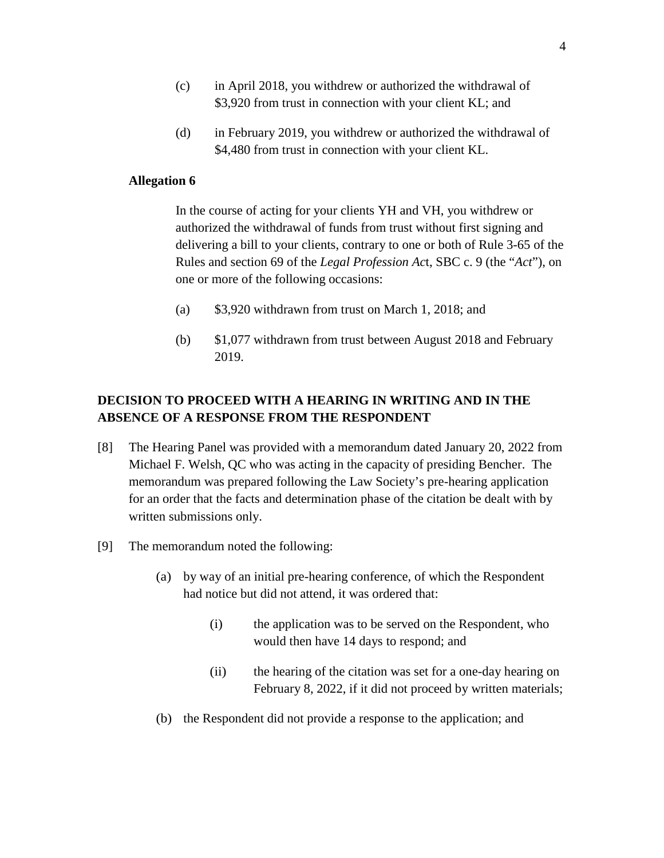- (c) in April 2018, you withdrew or authorized the withdrawal of \$3,920 from trust in connection with your client KL; and
- (d) in February 2019, you withdrew or authorized the withdrawal of \$4,480 from trust in connection with your client KL.

## **Allegation 6**

In the course of acting for your clients YH and VH, you withdrew or authorized the withdrawal of funds from trust without first signing and delivering a bill to your clients, contrary to one or both of Rule 3-65 of the Rules and section 69 of the *Legal Profession Ac*t, SBC c. 9 (the "*Act*"), on one or more of the following occasions:

- (a) \$3,920 withdrawn from trust on March 1, 2018; and
- (b) \$1,077 withdrawn from trust between August 2018 and February 2019.

## **DECISION TO PROCEED WITH A HEARING IN WRITING AND IN THE ABSENCE OF A RESPONSE FROM THE RESPONDENT**

- [8] The Hearing Panel was provided with a memorandum dated January 20, 2022 from Michael F. Welsh, QC who was acting in the capacity of presiding Bencher. The memorandum was prepared following the Law Society's pre-hearing application for an order that the facts and determination phase of the citation be dealt with by written submissions only.
- [9] The memorandum noted the following:
	- (a) by way of an initial pre-hearing conference, of which the Respondent had notice but did not attend, it was ordered that:
		- (i) the application was to be served on the Respondent, who would then have 14 days to respond; and
		- (ii) the hearing of the citation was set for a one-day hearing on February 8, 2022, if it did not proceed by written materials;
	- (b) the Respondent did not provide a response to the application; and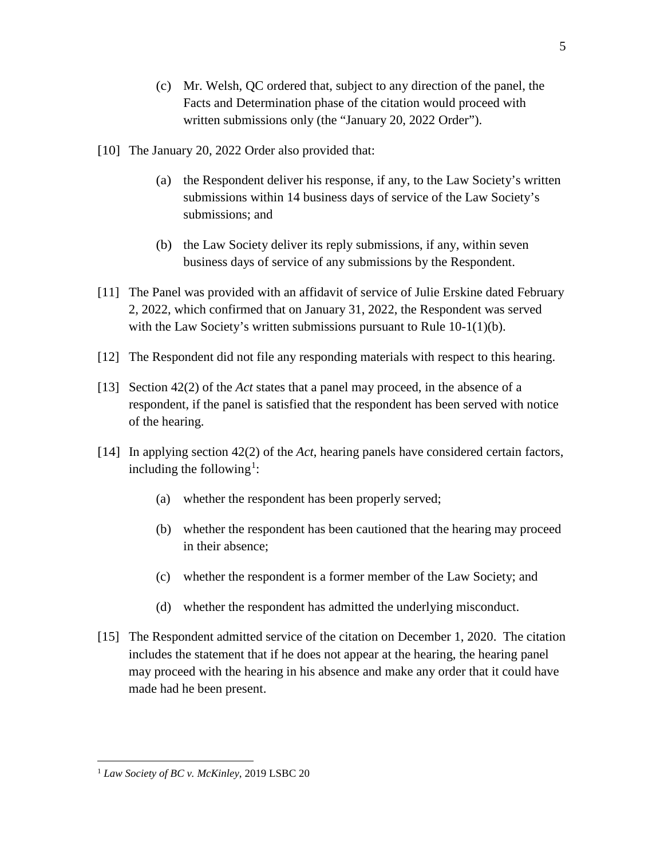- (c) Mr. Welsh, QC ordered that, subject to any direction of the panel, the Facts and Determination phase of the citation would proceed with written submissions only (the "January 20, 2022 Order").
- [10] The January 20, 2022 Order also provided that:
	- (a) the Respondent deliver his response, if any, to the Law Society's written submissions within 14 business days of service of the Law Society's submissions; and
	- (b) the Law Society deliver its reply submissions, if any, within seven business days of service of any submissions by the Respondent.
- [11] The Panel was provided with an affidavit of service of Julie Erskine dated February 2, 2022, which confirmed that on January 31, 2022, the Respondent was served with the Law Society's written submissions pursuant to Rule 10-1(1)(b).
- [12] The Respondent did not file any responding materials with respect to this hearing.
- [13] Section 42(2) of the *Act* states that a panel may proceed, in the absence of a respondent, if the panel is satisfied that the respondent has been served with notice of the hearing.
- [14] In applying section 42(2) of the *Act*, hearing panels have considered certain factors, including the following<sup>1</sup>:
	- (a) whether the respondent has been properly served;
	- (b) whether the respondent has been cautioned that the hearing may proceed in their absence;
	- (c) whether the respondent is a former member of the Law Society; and
	- (d) whether the respondent has admitted the underlying misconduct.
- [15] The Respondent admitted service of the citation on December 1, 2020. The citation includes the statement that if he does not appear at the hearing, the hearing panel may proceed with the hearing in his absence and make any order that it could have made had he been present.

5

 $\overline{a}$ 

<sup>1</sup> *Law Society of BC v. McKinley*, 2019 LSBC 20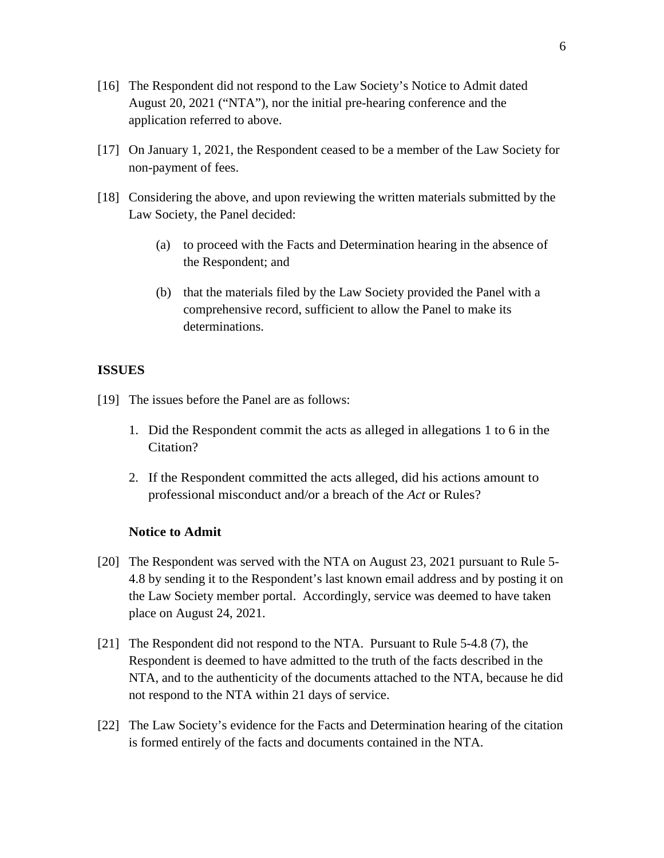- [16] The Respondent did not respond to the Law Society's Notice to Admit dated August 20, 2021 ("NTA"), nor the initial pre-hearing conference and the application referred to above.
- [17] On January 1, 2021, the Respondent ceased to be a member of the Law Society for non-payment of fees.
- [18] Considering the above, and upon reviewing the written materials submitted by the Law Society, the Panel decided:
	- (a) to proceed with the Facts and Determination hearing in the absence of the Respondent; and
	- (b) that the materials filed by the Law Society provided the Panel with a comprehensive record, sufficient to allow the Panel to make its determinations.

### **ISSUES**

- [19] The issues before the Panel are as follows:
	- 1. Did the Respondent commit the acts as alleged in allegations 1 to 6 in the Citation?
	- 2. If the Respondent committed the acts alleged, did his actions amount to professional misconduct and/or a breach of the *Act* or Rules?

## **Notice to Admit**

- [20] The Respondent was served with the NTA on August 23, 2021 pursuant to Rule 5- 4.8 by sending it to the Respondent's last known email address and by posting it on the Law Society member portal. Accordingly, service was deemed to have taken place on August 24, 2021.
- [21] The Respondent did not respond to the NTA. Pursuant to Rule 5-4.8 (7), the Respondent is deemed to have admitted to the truth of the facts described in the NTA, and to the authenticity of the documents attached to the NTA, because he did not respond to the NTA within 21 days of service.
- [22] The Law Society's evidence for the Facts and Determination hearing of the citation is formed entirely of the facts and documents contained in the NTA.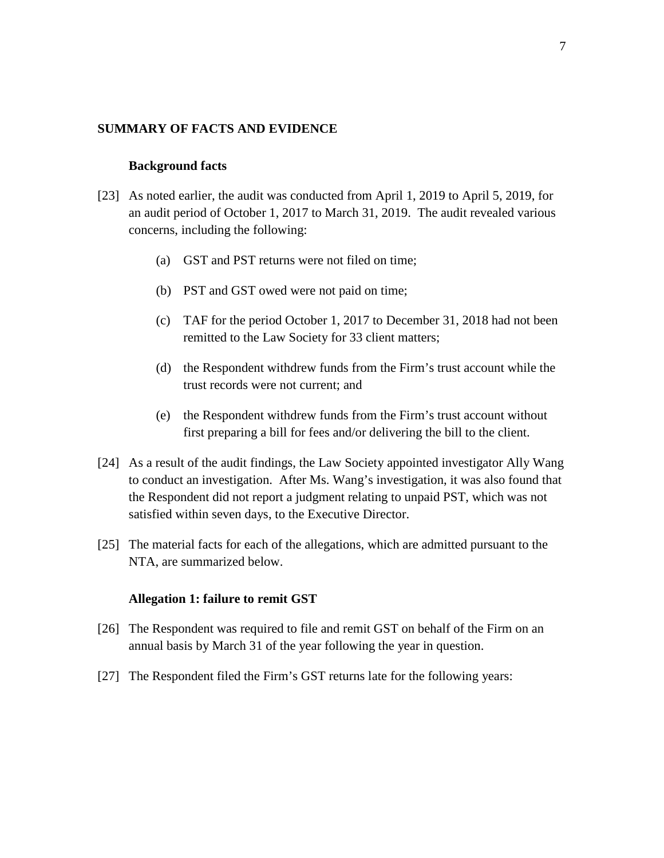#### **SUMMARY OF FACTS AND EVIDENCE**

#### **Background facts**

- [23] As noted earlier, the audit was conducted from April 1, 2019 to April 5, 2019, for an audit period of October 1, 2017 to March 31, 2019. The audit revealed various concerns, including the following:
	- (a) GST and PST returns were not filed on time;
	- (b) PST and GST owed were not paid on time;
	- (c) TAF for the period October 1, 2017 to December 31, 2018 had not been remitted to the Law Society for 33 client matters;
	- (d) the Respondent withdrew funds from the Firm's trust account while the trust records were not current; and
	- (e) the Respondent withdrew funds from the Firm's trust account without first preparing a bill for fees and/or delivering the bill to the client.
- [24] As a result of the audit findings, the Law Society appointed investigator Ally Wang to conduct an investigation. After Ms. Wang's investigation, it was also found that the Respondent did not report a judgment relating to unpaid PST, which was not satisfied within seven days, to the Executive Director.
- [25] The material facts for each of the allegations, which are admitted pursuant to the NTA, are summarized below.

#### **Allegation 1: failure to remit GST**

- [26] The Respondent was required to file and remit GST on behalf of the Firm on an annual basis by March 31 of the year following the year in question.
- [27] The Respondent filed the Firm's GST returns late for the following years: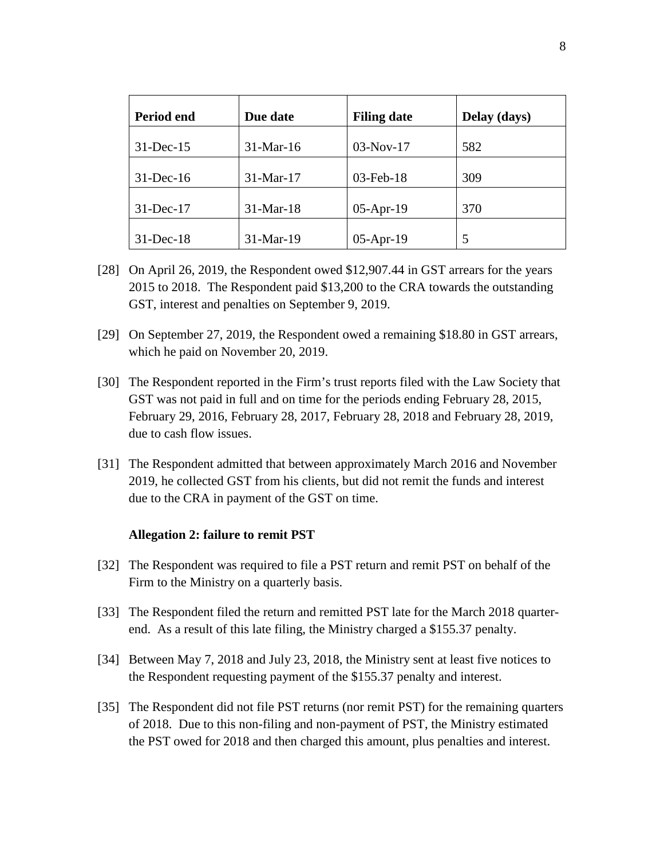| Period end   | Due date    | <b>Filing date</b> | Delay (days) |
|--------------|-------------|--------------------|--------------|
| $31$ -Dec-15 | 31-Mar-16   | $03-Nov-17$        | 582          |
| $31$ -Dec-16 | $31-Mar-17$ | $03$ -Feb- $18$    | 309          |
| $31$ -Dec-17 | $31-Mar-18$ | $05$ -Apr-19       | 370          |
| $31$ -Dec-18 | $31-Mar-19$ | $05$ -Apr-19       | 5            |

- [28] On April 26, 2019, the Respondent owed \$12,907.44 in GST arrears for the years 2015 to 2018. The Respondent paid \$13,200 to the CRA towards the outstanding GST, interest and penalties on September 9, 2019.
- [29] On September 27, 2019, the Respondent owed a remaining \$18.80 in GST arrears, which he paid on November 20, 2019.
- [30] The Respondent reported in the Firm's trust reports filed with the Law Society that GST was not paid in full and on time for the periods ending February 28, 2015, February 29, 2016, February 28, 2017, February 28, 2018 and February 28, 2019, due to cash flow issues.
- [31] The Respondent admitted that between approximately March 2016 and November 2019, he collected GST from his clients, but did not remit the funds and interest due to the CRA in payment of the GST on time.

### **Allegation 2: failure to remit PST**

- [32] The Respondent was required to file a PST return and remit PST on behalf of the Firm to the Ministry on a quarterly basis.
- [33] The Respondent filed the return and remitted PST late for the March 2018 quarterend. As a result of this late filing, the Ministry charged a \$155.37 penalty.
- [34] Between May 7, 2018 and July 23, 2018, the Ministry sent at least five notices to the Respondent requesting payment of the \$155.37 penalty and interest.
- [35] The Respondent did not file PST returns (nor remit PST) for the remaining quarters of 2018. Due to this non-filing and non-payment of PST, the Ministry estimated the PST owed for 2018 and then charged this amount, plus penalties and interest.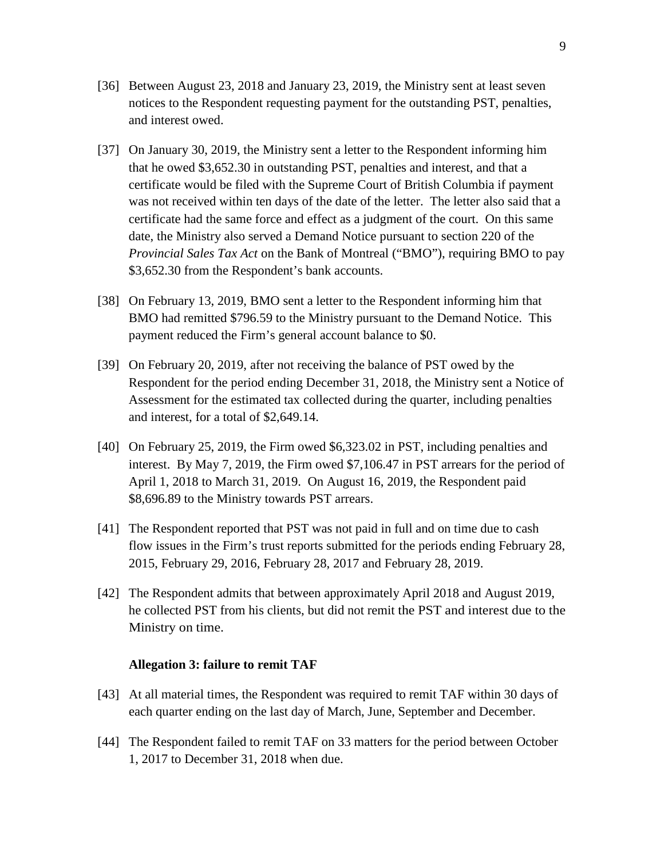- [36] Between August 23, 2018 and January 23, 2019, the Ministry sent at least seven notices to the Respondent requesting payment for the outstanding PST, penalties, and interest owed.
- [37] On January 30, 2019, the Ministry sent a letter to the Respondent informing him that he owed \$3,652.30 in outstanding PST, penalties and interest, and that a certificate would be filed with the Supreme Court of British Columbia if payment was not received within ten days of the date of the letter. The letter also said that a certificate had the same force and effect as a judgment of the court. On this same date, the Ministry also served a Demand Notice pursuant to section 220 of the *Provincial Sales Tax Act* on the Bank of Montreal ("BMO"), requiring BMO to pay \$3,652.30 from the Respondent's bank accounts.
- [38] On February 13, 2019, BMO sent a letter to the Respondent informing him that BMO had remitted \$796.59 to the Ministry pursuant to the Demand Notice. This payment reduced the Firm's general account balance to \$0.
- [39] On February 20, 2019, after not receiving the balance of PST owed by the Respondent for the period ending December 31, 2018, the Ministry sent a Notice of Assessment for the estimated tax collected during the quarter, including penalties and interest, for a total of \$2,649.14.
- [40] On February 25, 2019, the Firm owed \$6,323.02 in PST, including penalties and interest. By May 7, 2019, the Firm owed \$7,106.47 in PST arrears for the period of April 1, 2018 to March 31, 2019. On August 16, 2019, the Respondent paid \$8,696.89 to the Ministry towards PST arrears.
- [41] The Respondent reported that PST was not paid in full and on time due to cash flow issues in the Firm's trust reports submitted for the periods ending February 28, 2015, February 29, 2016, February 28, 2017 and February 28, 2019.
- [42] The Respondent admits that between approximately April 2018 and August 2019, he collected PST from his clients, but did not remit the PST and interest due to the Ministry on time.

#### **Allegation 3: failure to remit TAF**

- [43] At all material times, the Respondent was required to remit TAF within 30 days of each quarter ending on the last day of March, June, September and December.
- [44] The Respondent failed to remit TAF on 33 matters for the period between October 1, 2017 to December 31, 2018 when due.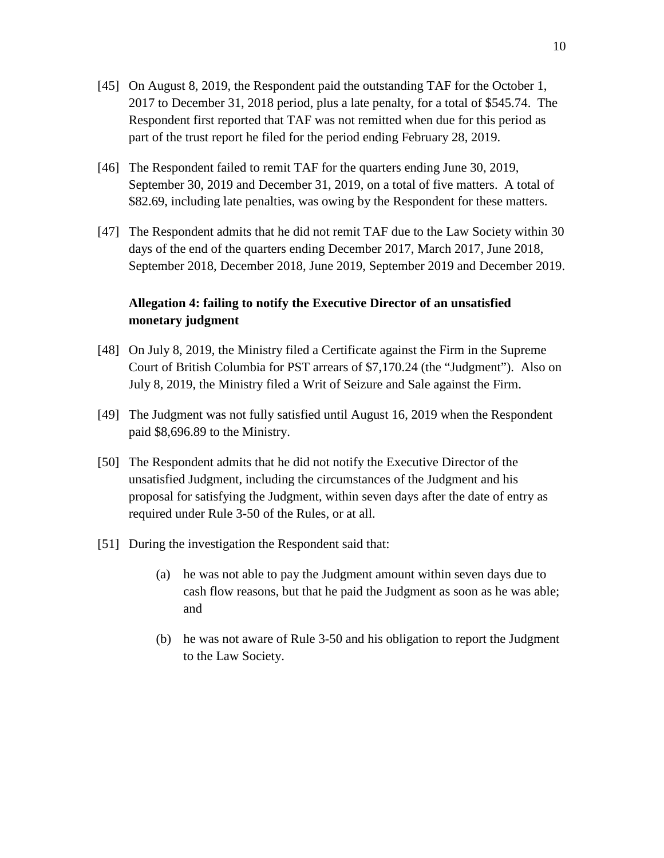- [45] On August 8, 2019, the Respondent paid the outstanding TAF for the October 1, 2017 to December 31, 2018 period, plus a late penalty, for a total of \$545.74. The Respondent first reported that TAF was not remitted when due for this period as part of the trust report he filed for the period ending February 28, 2019.
- [46] The Respondent failed to remit TAF for the quarters ending June 30, 2019, September 30, 2019 and December 31, 2019, on a total of five matters. A total of \$82.69, including late penalties, was owing by the Respondent for these matters.
- [47] The Respondent admits that he did not remit TAF due to the Law Society within 30 days of the end of the quarters ending December 2017, March 2017, June 2018, September 2018, December 2018, June 2019, September 2019 and December 2019.

## **Allegation 4: failing to notify the Executive Director of an unsatisfied monetary judgment**

- [48] On July 8, 2019, the Ministry filed a Certificate against the Firm in the Supreme Court of British Columbia for PST arrears of \$7,170.24 (the "Judgment"). Also on July 8, 2019, the Ministry filed a Writ of Seizure and Sale against the Firm.
- [49] The Judgment was not fully satisfied until August 16, 2019 when the Respondent paid \$8,696.89 to the Ministry.
- [50] The Respondent admits that he did not notify the Executive Director of the unsatisfied Judgment, including the circumstances of the Judgment and his proposal for satisfying the Judgment, within seven days after the date of entry as required under Rule 3-50 of the Rules, or at all.
- [51] During the investigation the Respondent said that:
	- (a) he was not able to pay the Judgment amount within seven days due to cash flow reasons, but that he paid the Judgment as soon as he was able; and
	- (b) he was not aware of Rule 3-50 and his obligation to report the Judgment to the Law Society.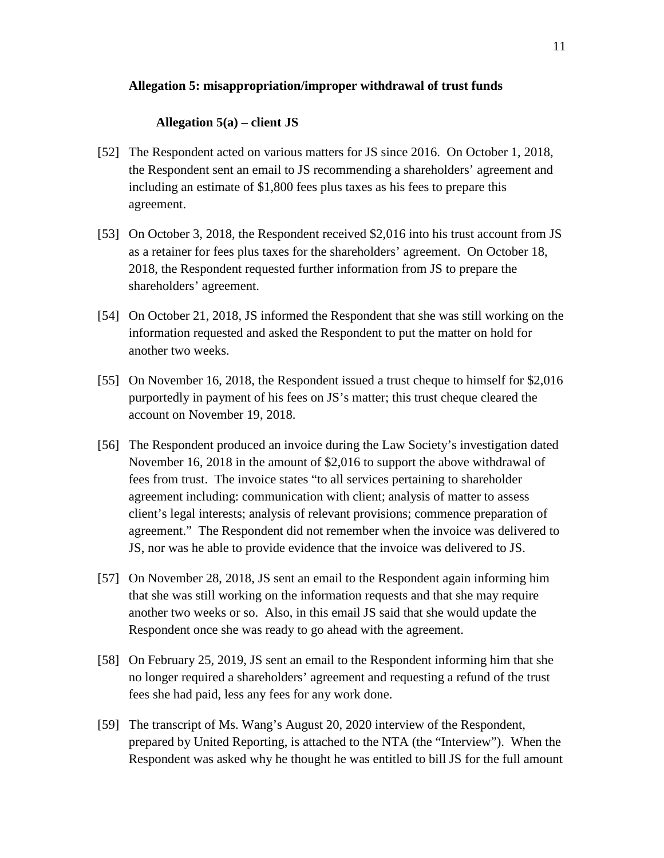## **Allegation 5: misappropriation/improper withdrawal of trust funds**

## **Allegation 5(a) – client JS**

- [52] The Respondent acted on various matters for JS since 2016. On October 1, 2018, the Respondent sent an email to JS recommending a shareholders' agreement and including an estimate of \$1,800 fees plus taxes as his fees to prepare this agreement.
- [53] On October 3, 2018, the Respondent received \$2,016 into his trust account from JS as a retainer for fees plus taxes for the shareholders' agreement. On October 18, 2018, the Respondent requested further information from JS to prepare the shareholders' agreement.
- [54] On October 21, 2018, JS informed the Respondent that she was still working on the information requested and asked the Respondent to put the matter on hold for another two weeks.
- [55] On November 16, 2018, the Respondent issued a trust cheque to himself for \$2,016 purportedly in payment of his fees on JS's matter; this trust cheque cleared the account on November 19, 2018.
- [56] The Respondent produced an invoice during the Law Society's investigation dated November 16, 2018 in the amount of \$2,016 to support the above withdrawal of fees from trust. The invoice states "to all services pertaining to shareholder agreement including: communication with client; analysis of matter to assess client's legal interests; analysis of relevant provisions; commence preparation of agreement." The Respondent did not remember when the invoice was delivered to JS, nor was he able to provide evidence that the invoice was delivered to JS.
- [57] On November 28, 2018, JS sent an email to the Respondent again informing him that she was still working on the information requests and that she may require another two weeks or so. Also, in this email JS said that she would update the Respondent once she was ready to go ahead with the agreement.
- [58] On February 25, 2019, JS sent an email to the Respondent informing him that she no longer required a shareholders' agreement and requesting a refund of the trust fees she had paid, less any fees for any work done.
- [59] The transcript of Ms. Wang's August 20, 2020 interview of the Respondent, prepared by United Reporting, is attached to the NTA (the "Interview"). When the Respondent was asked why he thought he was entitled to bill JS for the full amount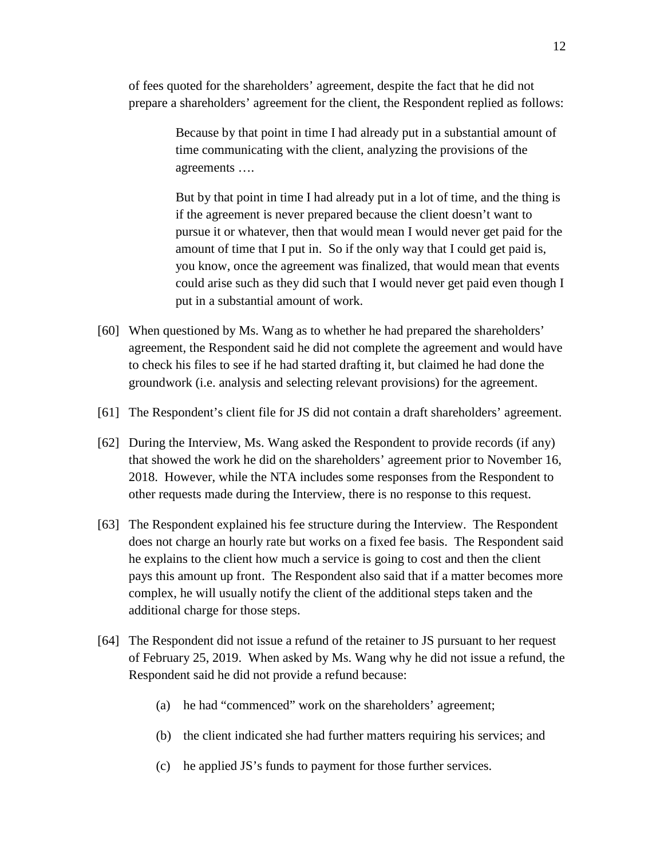of fees quoted for the shareholders' agreement, despite the fact that he did not prepare a shareholders' agreement for the client, the Respondent replied as follows:

> Because by that point in time I had already put in a substantial amount of time communicating with the client, analyzing the provisions of the agreements ….

But by that point in time I had already put in a lot of time, and the thing is if the agreement is never prepared because the client doesn't want to pursue it or whatever, then that would mean I would never get paid for the amount of time that I put in. So if the only way that I could get paid is, you know, once the agreement was finalized, that would mean that events could arise such as they did such that I would never get paid even though I put in a substantial amount of work.

- [60] When questioned by Ms. Wang as to whether he had prepared the shareholders' agreement, the Respondent said he did not complete the agreement and would have to check his files to see if he had started drafting it, but claimed he had done the groundwork (i.e. analysis and selecting relevant provisions) for the agreement.
- [61] The Respondent's client file for JS did not contain a draft shareholders' agreement.
- [62] During the Interview, Ms. Wang asked the Respondent to provide records (if any) that showed the work he did on the shareholders' agreement prior to November 16, 2018. However, while the NTA includes some responses from the Respondent to other requests made during the Interview, there is no response to this request.
- [63] The Respondent explained his fee structure during the Interview. The Respondent does not charge an hourly rate but works on a fixed fee basis. The Respondent said he explains to the client how much a service is going to cost and then the client pays this amount up front. The Respondent also said that if a matter becomes more complex, he will usually notify the client of the additional steps taken and the additional charge for those steps.
- [64] The Respondent did not issue a refund of the retainer to JS pursuant to her request of February 25, 2019. When asked by Ms. Wang why he did not issue a refund, the Respondent said he did not provide a refund because:
	- (a) he had "commenced" work on the shareholders' agreement;
	- (b) the client indicated she had further matters requiring his services; and
	- (c) he applied JS's funds to payment for those further services.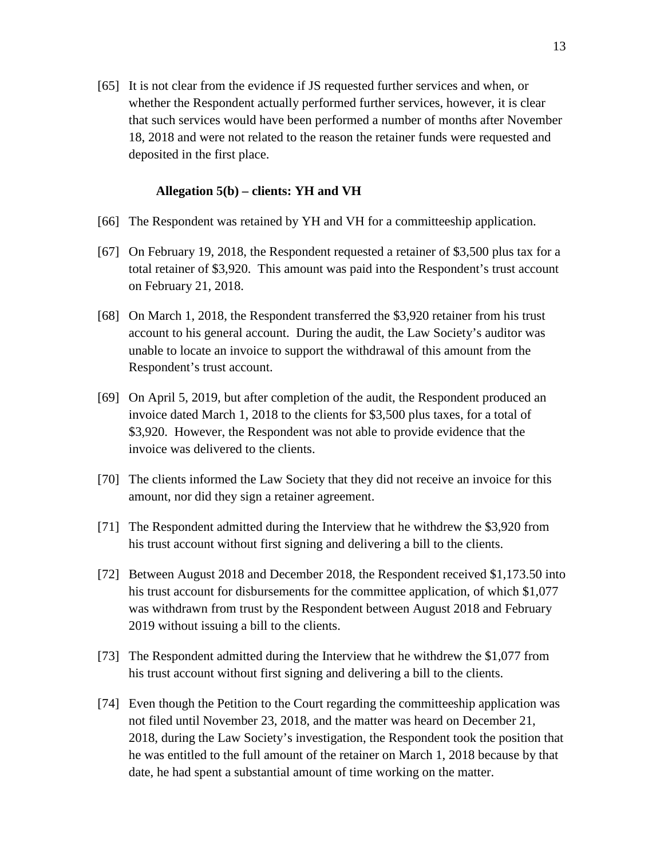[65] It is not clear from the evidence if JS requested further services and when, or whether the Respondent actually performed further services, however, it is clear that such services would have been performed a number of months after November 18, 2018 and were not related to the reason the retainer funds were requested and deposited in the first place.

#### **Allegation 5(b) – clients: YH and VH**

- [66] The Respondent was retained by YH and VH for a committeeship application.
- [67] On February 19, 2018, the Respondent requested a retainer of \$3,500 plus tax for a total retainer of \$3,920. This amount was paid into the Respondent's trust account on February 21, 2018.
- [68] On March 1, 2018, the Respondent transferred the \$3,920 retainer from his trust account to his general account. During the audit, the Law Society's auditor was unable to locate an invoice to support the withdrawal of this amount from the Respondent's trust account.
- [69] On April 5, 2019, but after completion of the audit, the Respondent produced an invoice dated March 1, 2018 to the clients for \$3,500 plus taxes, for a total of \$3,920. However, the Respondent was not able to provide evidence that the invoice was delivered to the clients.
- [70] The clients informed the Law Society that they did not receive an invoice for this amount, nor did they sign a retainer agreement.
- [71] The Respondent admitted during the Interview that he withdrew the \$3,920 from his trust account without first signing and delivering a bill to the clients.
- [72] Between August 2018 and December 2018, the Respondent received \$1,173.50 into his trust account for disbursements for the committee application, of which \$1,077 was withdrawn from trust by the Respondent between August 2018 and February 2019 without issuing a bill to the clients.
- [73] The Respondent admitted during the Interview that he withdrew the \$1,077 from his trust account without first signing and delivering a bill to the clients.
- [74] Even though the Petition to the Court regarding the committeeship application was not filed until November 23, 2018, and the matter was heard on December 21, 2018, during the Law Society's investigation, the Respondent took the position that he was entitled to the full amount of the retainer on March 1, 2018 because by that date, he had spent a substantial amount of time working on the matter.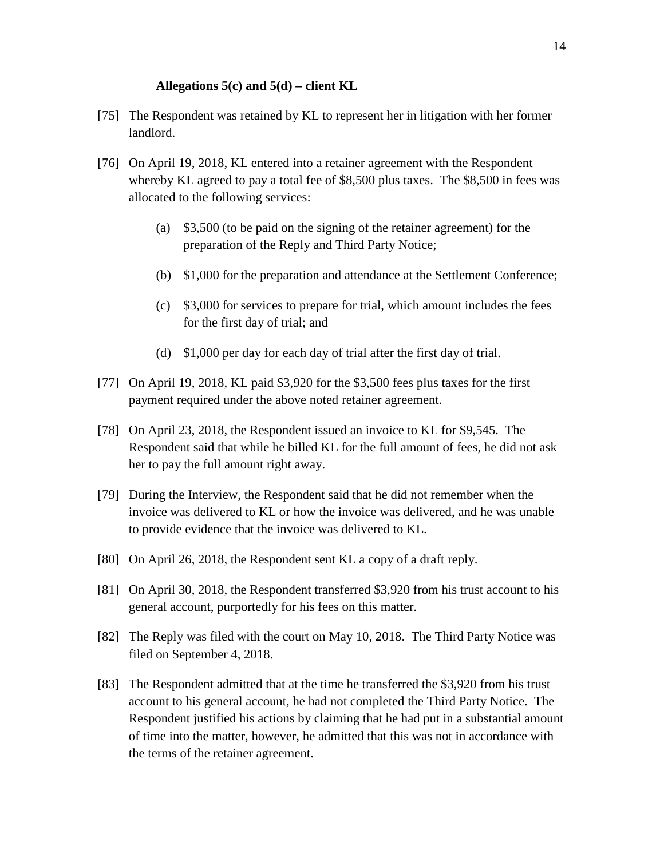#### **Allegations 5(c) and 5(d) – client KL**

- [75] The Respondent was retained by KL to represent her in litigation with her former landlord.
- [76] On April 19, 2018, KL entered into a retainer agreement with the Respondent whereby KL agreed to pay a total fee of \$8,500 plus taxes. The \$8,500 in fees was allocated to the following services:
	- (a) \$3,500 (to be paid on the signing of the retainer agreement) for the preparation of the Reply and Third Party Notice;
	- (b) \$1,000 for the preparation and attendance at the Settlement Conference;
	- (c) \$3,000 for services to prepare for trial, which amount includes the fees for the first day of trial; and
	- (d) \$1,000 per day for each day of trial after the first day of trial.
- [77] On April 19, 2018, KL paid \$3,920 for the \$3,500 fees plus taxes for the first payment required under the above noted retainer agreement.
- [78] On April 23, 2018, the Respondent issued an invoice to KL for \$9,545. The Respondent said that while he billed KL for the full amount of fees, he did not ask her to pay the full amount right away.
- [79] During the Interview, the Respondent said that he did not remember when the invoice was delivered to KL or how the invoice was delivered, and he was unable to provide evidence that the invoice was delivered to KL.
- [80] On April 26, 2018, the Respondent sent KL a copy of a draft reply.
- [81] On April 30, 2018, the Respondent transferred \$3,920 from his trust account to his general account, purportedly for his fees on this matter.
- [82] The Reply was filed with the court on May 10, 2018. The Third Party Notice was filed on September 4, 2018.
- [83] The Respondent admitted that at the time he transferred the \$3,920 from his trust account to his general account, he had not completed the Third Party Notice. The Respondent justified his actions by claiming that he had put in a substantial amount of time into the matter, however, he admitted that this was not in accordance with the terms of the retainer agreement.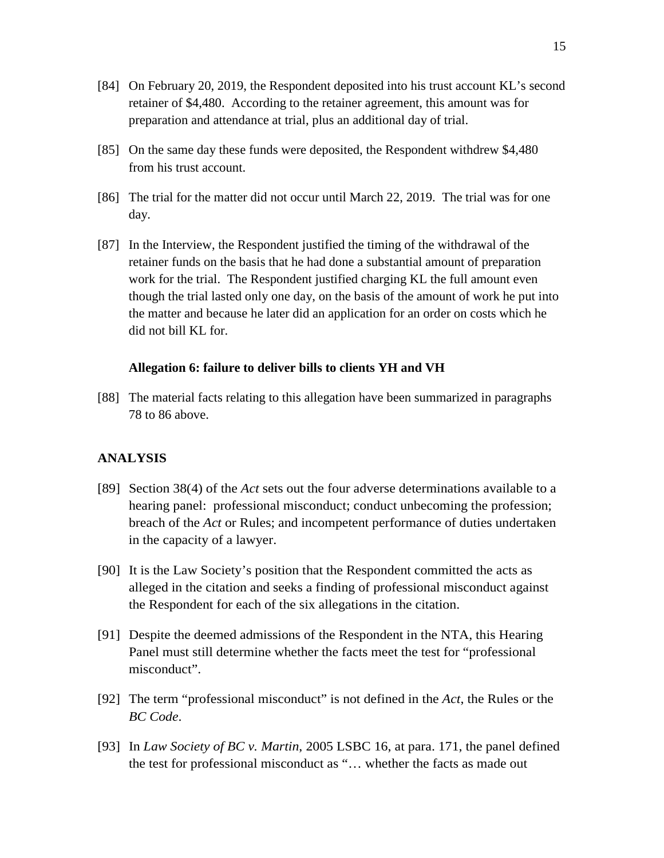- [84] On February 20, 2019, the Respondent deposited into his trust account KL's second retainer of \$4,480. According to the retainer agreement, this amount was for preparation and attendance at trial, plus an additional day of trial.
- [85] On the same day these funds were deposited, the Respondent withdrew \$4,480 from his trust account.
- [86] The trial for the matter did not occur until March 22, 2019. The trial was for one day.
- [87] In the Interview, the Respondent justified the timing of the withdrawal of the retainer funds on the basis that he had done a substantial amount of preparation work for the trial. The Respondent justified charging KL the full amount even though the trial lasted only one day, on the basis of the amount of work he put into the matter and because he later did an application for an order on costs which he did not bill KL for.

#### **Allegation 6: failure to deliver bills to clients YH and VH**

[88] The material facts relating to this allegation have been summarized in paragraphs 78 to 86 above.

## **ANALYSIS**

- [89] Section 38(4) of the *Act* sets out the four adverse determinations available to a hearing panel: professional misconduct; conduct unbecoming the profession; breach of the *Act* or Rules; and incompetent performance of duties undertaken in the capacity of a lawyer.
- [90] It is the Law Society's position that the Respondent committed the acts as alleged in the citation and seeks a finding of professional misconduct against the Respondent for each of the six allegations in the citation.
- [91] Despite the deemed admissions of the Respondent in the NTA, this Hearing Panel must still determine whether the facts meet the test for "professional misconduct".
- [92] The term "professional misconduct" is not defined in the *Act*, the Rules or the *BC Code*.
- [93] In *Law Society of BC v. Martin*, 2005 LSBC 16, at para. 171, the panel defined the test for professional misconduct as "… whether the facts as made out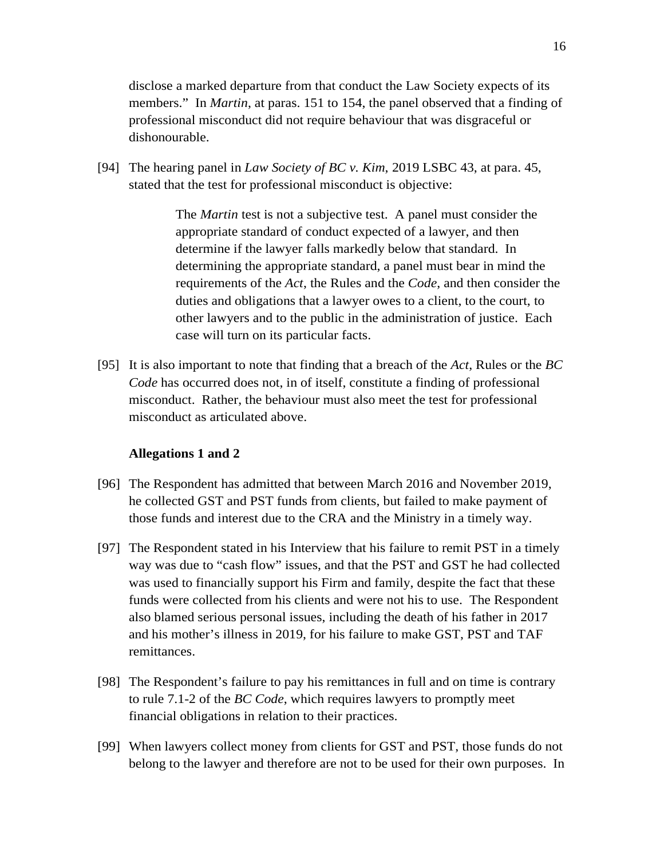disclose a marked departure from that conduct the Law Society expects of its members." In *Martin*, at paras. 151 to 154, the panel observed that a finding of professional misconduct did not require behaviour that was disgraceful or dishonourable.

[94] The hearing panel in *Law Society of BC v. Kim*, 2019 LSBC 43, at para. 45, stated that the test for professional misconduct is objective:

> The *Martin* test is not a subjective test. A panel must consider the appropriate standard of conduct expected of a lawyer, and then determine if the lawyer falls markedly below that standard. In determining the appropriate standard, a panel must bear in mind the requirements of the *Act*, the Rules and the *Code*, and then consider the duties and obligations that a lawyer owes to a client, to the court, to other lawyers and to the public in the administration of justice. Each case will turn on its particular facts.

[95] It is also important to note that finding that a breach of the *Act*, Rules or the *BC Code* has occurred does not, in of itself, constitute a finding of professional misconduct. Rather, the behaviour must also meet the test for professional misconduct as articulated above.

### **Allegations 1 and 2**

- [96] The Respondent has admitted that between March 2016 and November 2019, he collected GST and PST funds from clients, but failed to make payment of those funds and interest due to the CRA and the Ministry in a timely way.
- [97] The Respondent stated in his Interview that his failure to remit PST in a timely way was due to "cash flow" issues, and that the PST and GST he had collected was used to financially support his Firm and family, despite the fact that these funds were collected from his clients and were not his to use. The Respondent also blamed serious personal issues, including the death of his father in 2017 and his mother's illness in 2019, for his failure to make GST, PST and TAF remittances.
- [98] The Respondent's failure to pay his remittances in full and on time is contrary to rule 7.1-2 of the *BC Code*, which requires lawyers to promptly meet financial obligations in relation to their practices.
- [99] When lawyers collect money from clients for GST and PST, those funds do not belong to the lawyer and therefore are not to be used for their own purposes. In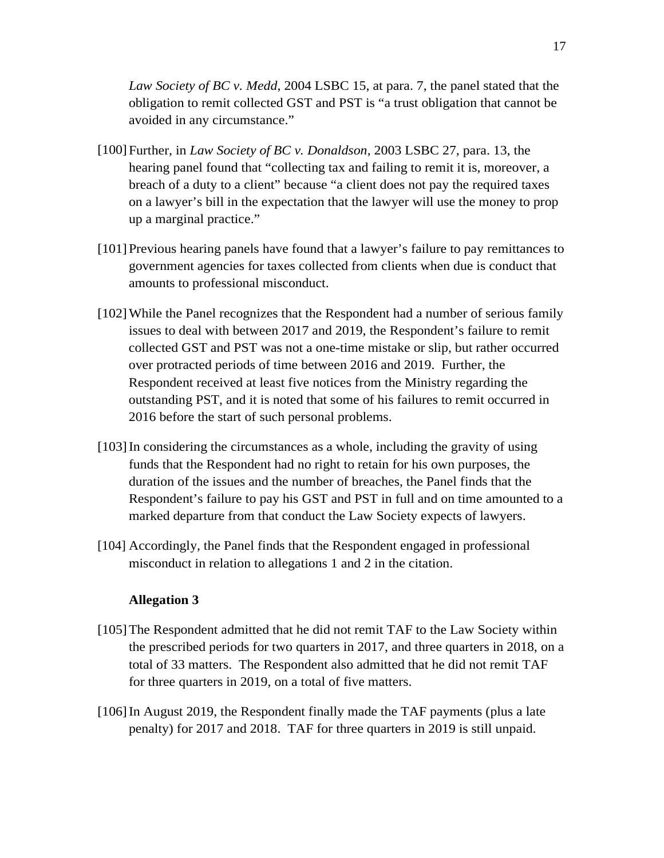*Law Society of BC v. Medd*, 2004 LSBC 15, at para. 7, the panel stated that the obligation to remit collected GST and PST is "a trust obligation that cannot be avoided in any circumstance."

- [100]Further, in *Law Society of BC v. Donaldson*, 2003 LSBC 27, para. 13, the hearing panel found that "collecting tax and failing to remit it is, moreover, a breach of a duty to a client" because "a client does not pay the required taxes on a lawyer's bill in the expectation that the lawyer will use the money to prop up a marginal practice."
- [101]Previous hearing panels have found that a lawyer's failure to pay remittances to government agencies for taxes collected from clients when due is conduct that amounts to professional misconduct.
- [102]While the Panel recognizes that the Respondent had a number of serious family issues to deal with between 2017 and 2019, the Respondent's failure to remit collected GST and PST was not a one-time mistake or slip, but rather occurred over protracted periods of time between 2016 and 2019. Further, the Respondent received at least five notices from the Ministry regarding the outstanding PST, and it is noted that some of his failures to remit occurred in 2016 before the start of such personal problems.
- [103] In considering the circumstances as a whole, including the gravity of using funds that the Respondent had no right to retain for his own purposes, the duration of the issues and the number of breaches, the Panel finds that the Respondent's failure to pay his GST and PST in full and on time amounted to a marked departure from that conduct the Law Society expects of lawyers.
- [104] Accordingly, the Panel finds that the Respondent engaged in professional misconduct in relation to allegations 1 and 2 in the citation.

### **Allegation 3**

- [105]The Respondent admitted that he did not remit TAF to the Law Society within the prescribed periods for two quarters in 2017, and three quarters in 2018, on a total of 33 matters. The Respondent also admitted that he did not remit TAF for three quarters in 2019, on a total of five matters.
- [106]In August 2019, the Respondent finally made the TAF payments (plus a late penalty) for 2017 and 2018. TAF for three quarters in 2019 is still unpaid.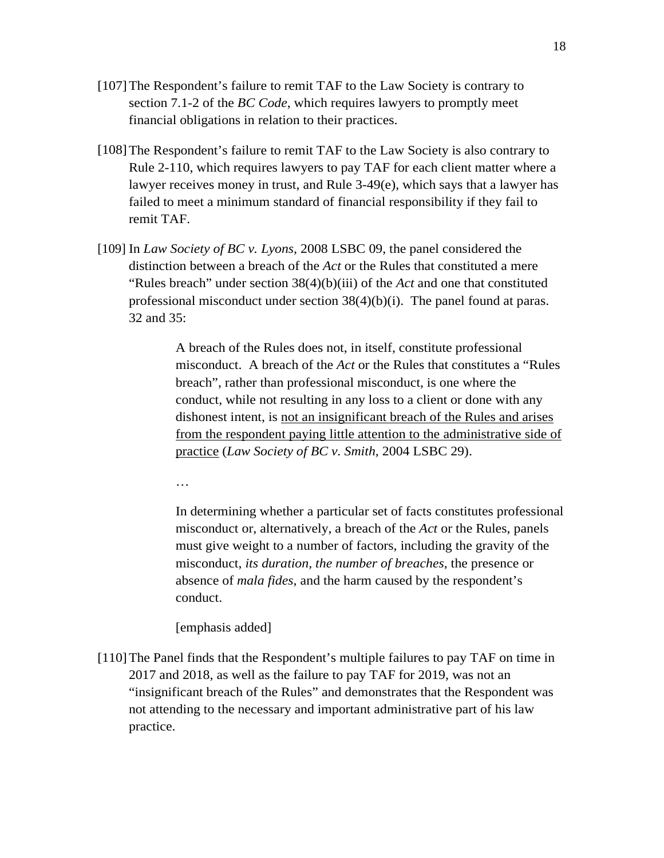- [107]The Respondent's failure to remit TAF to the Law Society is contrary to section 7.1-2 of the *BC Code*, which requires lawyers to promptly meet financial obligations in relation to their practices.
- [108] The Respondent's failure to remit TAF to the Law Society is also contrary to Rule 2-110, which requires lawyers to pay TAF for each client matter where a lawyer receives money in trust, and Rule 3-49(e), which says that a lawyer has failed to meet a minimum standard of financial responsibility if they fail to remit TAF.
- [109] In *Law Society of BC v. Lyons*, 2008 LSBC 09, the panel considered the distinction between a breach of the *Act* or the Rules that constituted a mere "Rules breach" under section 38(4)(b)(iii) of the *Act* and one that constituted professional misconduct under section 38(4)(b)(i). The panel found at paras. 32 and 35:

A breach of the Rules does not, in itself, constitute professional misconduct. A breach of the *Act* or the Rules that constitutes a "Rules breach", rather than professional misconduct, is one where the conduct, while not resulting in any loss to a client or done with any dishonest intent, is not an insignificant breach of the Rules and arises from the respondent paying little attention to the administrative side of practice (*Law Society of BC v. Smith*, 2004 LSBC 29).

…

In determining whether a particular set of facts constitutes professional misconduct or, alternatively, a breach of the *Act* or the Rules, panels must give weight to a number of factors, including the gravity of the misconduct, *its duration, the number of breaches*, the presence or absence of *mala fides*, and the harm caused by the respondent's conduct.

[emphasis added]

[110]The Panel finds that the Respondent's multiple failures to pay TAF on time in 2017 and 2018, as well as the failure to pay TAF for 2019, was not an "insignificant breach of the Rules" and demonstrates that the Respondent was not attending to the necessary and important administrative part of his law practice.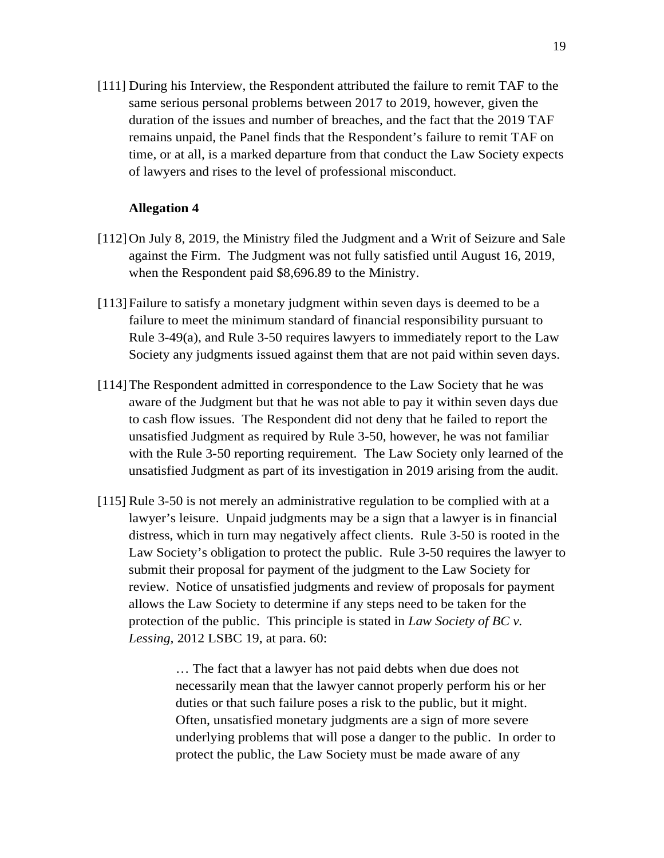[111] During his Interview, the Respondent attributed the failure to remit TAF to the same serious personal problems between 2017 to 2019, however, given the duration of the issues and number of breaches, and the fact that the 2019 TAF remains unpaid, the Panel finds that the Respondent's failure to remit TAF on time, or at all, is a marked departure from that conduct the Law Society expects of lawyers and rises to the level of professional misconduct.

### **Allegation 4**

- [112]On July 8, 2019, the Ministry filed the Judgment and a Writ of Seizure and Sale against the Firm. The Judgment was not fully satisfied until August 16, 2019, when the Respondent paid \$8,696.89 to the Ministry.
- [113] Failure to satisfy a monetary judgment within seven days is deemed to be a failure to meet the minimum standard of financial responsibility pursuant to Rule  $3-49(a)$ , and Rule  $3-50$  requires lawyers to immediately report to the Law Society any judgments issued against them that are not paid within seven days.
- [114]The Respondent admitted in correspondence to the Law Society that he was aware of the Judgment but that he was not able to pay it within seven days due to cash flow issues. The Respondent did not deny that he failed to report the unsatisfied Judgment as required by Rule 3-50, however, he was not familiar with the Rule 3-50 reporting requirement. The Law Society only learned of the unsatisfied Judgment as part of its investigation in 2019 arising from the audit.
- [115] Rule 3-50 is not merely an administrative regulation to be complied with at a lawyer's leisure. Unpaid judgments may be a sign that a lawyer is in financial distress, which in turn may negatively affect clients. Rule 3-50 is rooted in the Law Society's obligation to protect the public. Rule 3-50 requires the lawyer to submit their proposal for payment of the judgment to the Law Society for review. Notice of unsatisfied judgments and review of proposals for payment allows the Law Society to determine if any steps need to be taken for the protection of the public. This principle is stated in *Law Society of BC v. Lessing,* 2012 LSBC 19, at para. 60:

… The fact that a lawyer has not paid debts when due does not necessarily mean that the lawyer cannot properly perform his or her duties or that such failure poses a risk to the public, but it might. Often, unsatisfied monetary judgments are a sign of more severe underlying problems that will pose a danger to the public. In order to protect the public, the Law Society must be made aware of any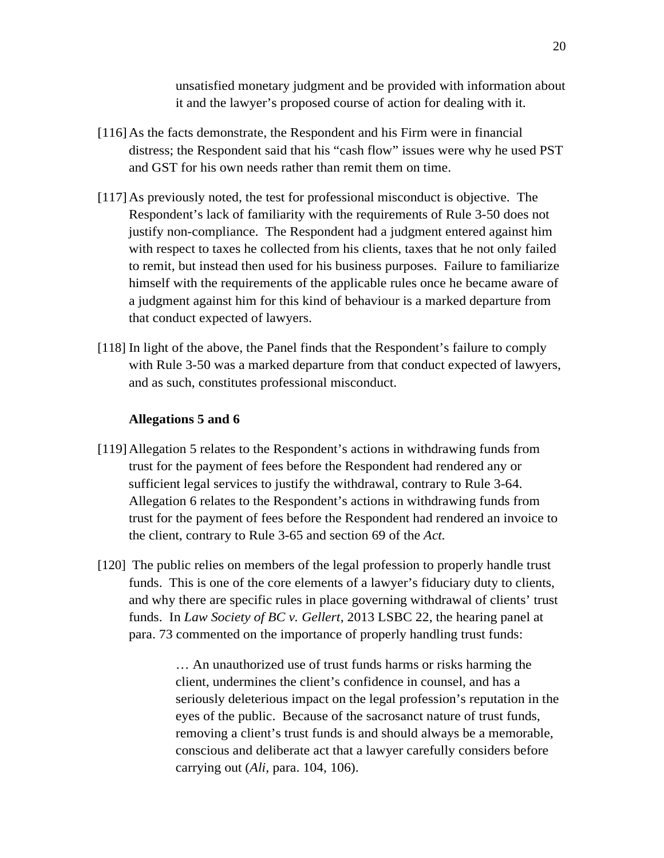unsatisfied monetary judgment and be provided with information about it and the lawyer's proposed course of action for dealing with it.

- [116]As the facts demonstrate, the Respondent and his Firm were in financial distress; the Respondent said that his "cash flow" issues were why he used PST and GST for his own needs rather than remit them on time.
- [117]As previously noted, the test for professional misconduct is objective. The Respondent's lack of familiarity with the requirements of Rule 3-50 does not justify non-compliance. The Respondent had a judgment entered against him with respect to taxes he collected from his clients, taxes that he not only failed to remit, but instead then used for his business purposes. Failure to familiarize himself with the requirements of the applicable rules once he became aware of a judgment against him for this kind of behaviour is a marked departure from that conduct expected of lawyers.
- [118] In light of the above, the Panel finds that the Respondent's failure to comply with Rule 3-50 was a marked departure from that conduct expected of lawyers, and as such, constitutes professional misconduct.

## **Allegations 5 and 6**

- [119]Allegation 5 relates to the Respondent's actions in withdrawing funds from trust for the payment of fees before the Respondent had rendered any or sufficient legal services to justify the withdrawal, contrary to Rule 3-64. Allegation 6 relates to the Respondent's actions in withdrawing funds from trust for the payment of fees before the Respondent had rendered an invoice to the client, contrary to Rule 3-65 and section 69 of the *Act.*
- [120] The public relies on members of the legal profession to properly handle trust funds. This is one of the core elements of a lawyer's fiduciary duty to clients, and why there are specific rules in place governing withdrawal of clients' trust funds. In *Law Society of BC v. Gellert,* 2013 LSBC 22, the hearing panel at para. 73 commented on the importance of properly handling trust funds:

… An unauthorized use of trust funds harms or risks harming the client, undermines the client's confidence in counsel, and has a seriously deleterious impact on the legal profession's reputation in the eyes of the public. Because of the sacrosanct nature of trust funds, removing a client's trust funds is and should always be a memorable, conscious and deliberate act that a lawyer carefully considers before carrying out (*Ali,* para. 104, 106).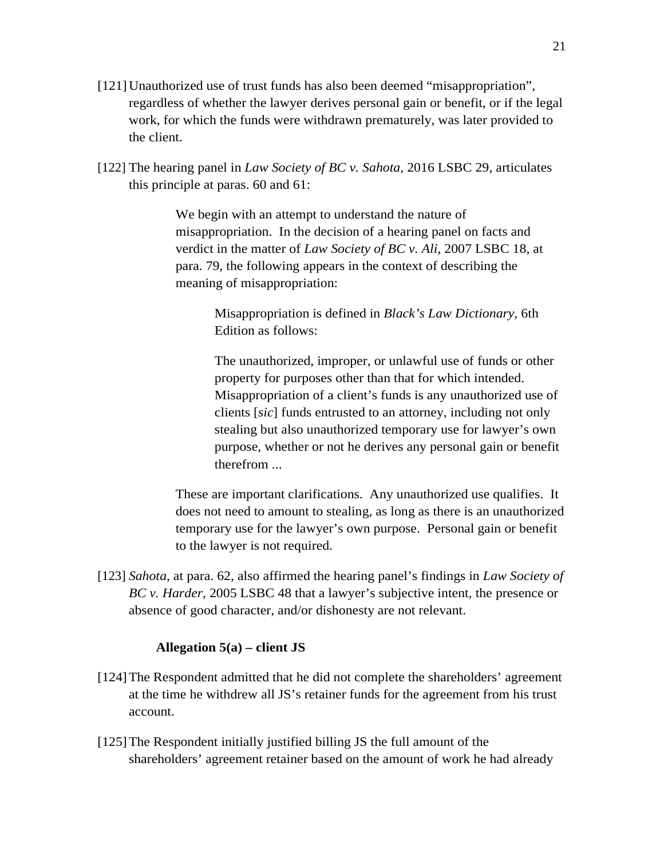- [121]Unauthorized use of trust funds has also been deemed "misappropriation", regardless of whether the lawyer derives personal gain or benefit, or if the legal work, for which the funds were withdrawn prematurely, was later provided to the client.
- [122] The hearing panel in *Law Society of BC v. Sahota,* 2016 LSBC 29, articulates this principle at paras. 60 and 61:

We begin with an attempt to understand the nature of misappropriation. In the decision of a hearing panel on facts and verdict in the matter of *Law Society of BC v. Ali*, 2007 LSBC 18, at para. 79, the following appears in the context of describing the meaning of misappropriation:

> Misappropriation is defined in *Black's Law Dictionary*, 6th Edition as follows:

The unauthorized, improper, or unlawful use of funds or other property for purposes other than that for which intended. Misappropriation of a client's funds is any unauthorized use of clients [*sic*] funds entrusted to an attorney, including not only stealing but also unauthorized temporary use for lawyer's own purpose, whether or not he derives any personal gain or benefit therefrom ...

These are important clarifications. Any unauthorized use qualifies. It does not need to amount to stealing, as long as there is an unauthorized temporary use for the lawyer's own purpose. Personal gain or benefit to the lawyer is not required.

[123] *Sahota*, at para. 62, also affirmed the hearing panel's findings in *Law Society of BC v. Harder,* 2005 LSBC 48 that a lawyer's subjective intent, the presence or absence of good character, and/or dishonesty are not relevant.

## **Allegation 5(a) – client JS**

- [124]The Respondent admitted that he did not complete the shareholders' agreement at the time he withdrew all JS's retainer funds for the agreement from his trust account.
- [125]The Respondent initially justified billing JS the full amount of the shareholders' agreement retainer based on the amount of work he had already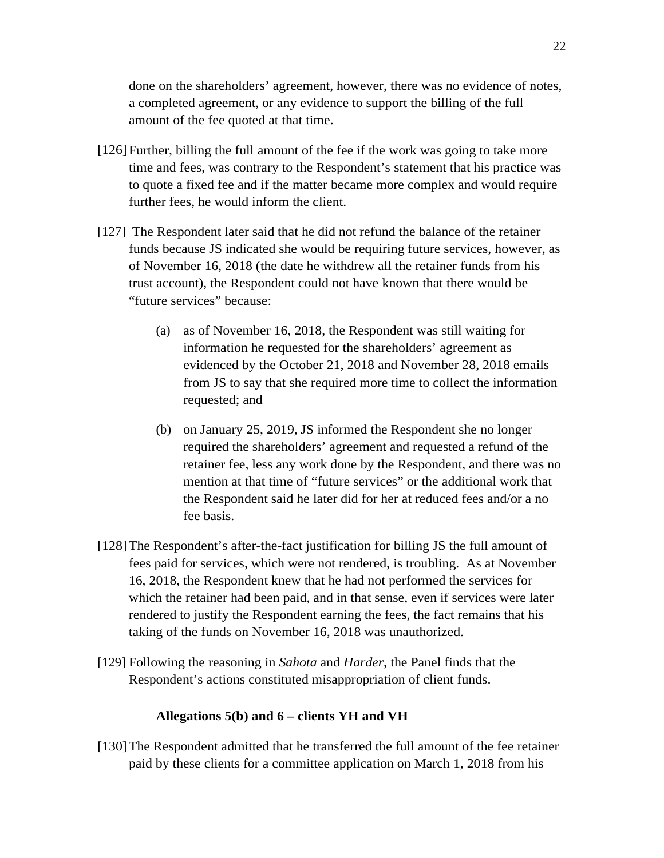done on the shareholders' agreement, however, there was no evidence of notes, a completed agreement, or any evidence to support the billing of the full amount of the fee quoted at that time.

- [126]Further, billing the full amount of the fee if the work was going to take more time and fees, was contrary to the Respondent's statement that his practice was to quote a fixed fee and if the matter became more complex and would require further fees, he would inform the client.
- [127] The Respondent later said that he did not refund the balance of the retainer funds because JS indicated she would be requiring future services, however, as of November 16, 2018 (the date he withdrew all the retainer funds from his trust account), the Respondent could not have known that there would be "future services" because:
	- (a) as of November 16, 2018, the Respondent was still waiting for information he requested for the shareholders' agreement as evidenced by the October 21, 2018 and November 28, 2018 emails from JS to say that she required more time to collect the information requested; and
	- (b) on January 25, 2019, JS informed the Respondent she no longer required the shareholders' agreement and requested a refund of the retainer fee, less any work done by the Respondent, and there was no mention at that time of "future services" or the additional work that the Respondent said he later did for her at reduced fees and/or a no fee basis.
- [128]The Respondent's after-the-fact justification for billing JS the full amount of fees paid for services, which were not rendered, is troubling. As at November 16, 2018, the Respondent knew that he had not performed the services for which the retainer had been paid, and in that sense, even if services were later rendered to justify the Respondent earning the fees, the fact remains that his taking of the funds on November 16, 2018 was unauthorized.
- [129] Following the reasoning in *Sahota* and *Harder*, the Panel finds that the Respondent's actions constituted misappropriation of client funds.

### **Allegations 5(b) and 6 – clients YH and VH**

[130]The Respondent admitted that he transferred the full amount of the fee retainer paid by these clients for a committee application on March 1, 2018 from his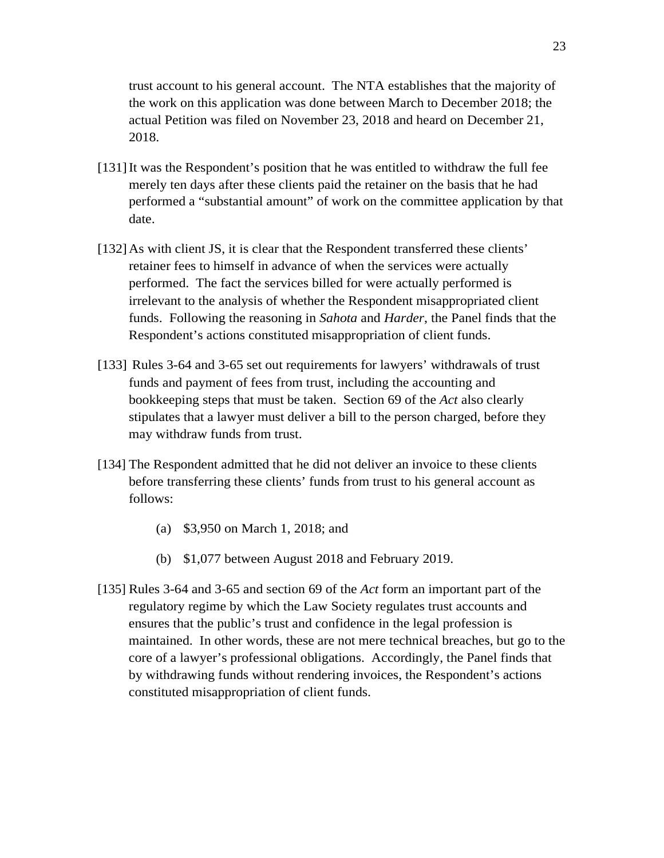trust account to his general account. The NTA establishes that the majority of the work on this application was done between March to December 2018; the actual Petition was filed on November 23, 2018 and heard on December 21, 2018.

- [131]It was the Respondent's position that he was entitled to withdraw the full fee merely ten days after these clients paid the retainer on the basis that he had performed a "substantial amount" of work on the committee application by that date.
- [132] As with client JS, it is clear that the Respondent transferred these clients' retainer fees to himself in advance of when the services were actually performed. The fact the services billed for were actually performed is irrelevant to the analysis of whether the Respondent misappropriated client funds. Following the reasoning in *Sahota* and *Harder*, the Panel finds that the Respondent's actions constituted misappropriation of client funds.
- [133] Rules 3-64 and 3-65 set out requirements for lawyers' withdrawals of trust funds and payment of fees from trust, including the accounting and bookkeeping steps that must be taken. Section 69 of the *Act* also clearly stipulates that a lawyer must deliver a bill to the person charged, before they may withdraw funds from trust.
- [134] The Respondent admitted that he did not deliver an invoice to these clients before transferring these clients' funds from trust to his general account as follows:
	- (a) \$3,950 on March 1, 2018; and
	- (b) \$1,077 between August 2018 and February 2019.
- [135] Rules 3-64 and 3-65 and section 69 of the *Act* form an important part of the regulatory regime by which the Law Society regulates trust accounts and ensures that the public's trust and confidence in the legal profession is maintained. In other words, these are not mere technical breaches, but go to the core of a lawyer's professional obligations. Accordingly, the Panel finds that by withdrawing funds without rendering invoices, the Respondent's actions constituted misappropriation of client funds.